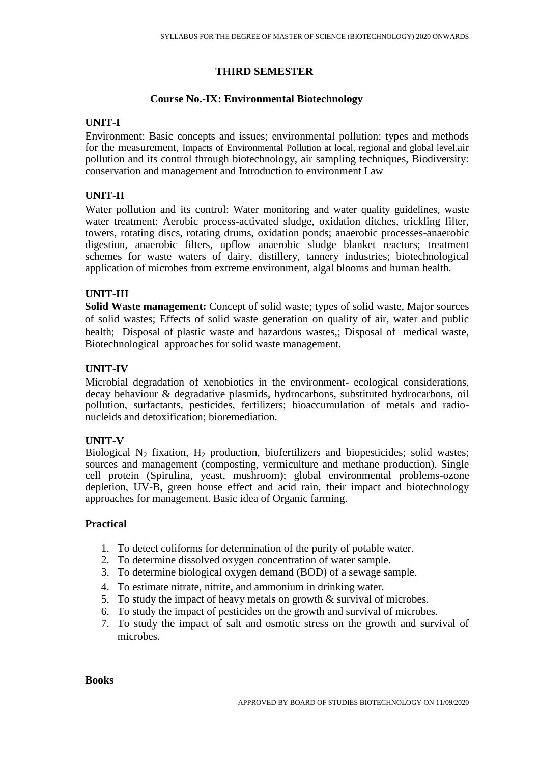### **THIRD SEMESTER**

#### **Course No.-IX: Environmental Biotechnology**

### **UNIT-I**

Environment: Basic concepts and issues; environmental pollution: types and methods for the measurement, Impacts of Environmental Pollution at local, regional and global level.air pollution and its control through biotechnology, air sampling techniques, Biodiversity: conservation and management and Introduction to environment Law

### **UNIT-II**

Water pollution and its control: Water monitoring and water quality guidelines, waste water treatment: Aerobic process-activated sludge, oxidation ditches, trickling filter, towers, rotating discs, rotating drums, oxidation ponds; anaerobic processes-anaerobic digestion, anaerobic filters, upflow anaerobic sludge blanket reactors; treatment schemes for waste waters of dairy, distillery, tannery industries; biotechnological application of microbes from extreme environment, algal blooms and human health.

### **UNIT-III**

**Solid Waste management:** Concept of solid waste; types of solid waste, Major sources of solid wastes; Effects of solid waste generation on quality of air, water and public health; Disposal of plastic waste and hazardous wastes,; Disposal of medical waste, Biotechnological approaches for solid waste management.

### **UNIT-IV**

Microbial degradation of xenobiotics in the environment- ecological considerations, decay behaviour & degradative plasmids, hydrocarbons, substituted hydrocarbons, oil pollution, surfactants, pesticides, fertilizers; bioaccumulation of metals and radionucleids and detoxification; bioremediation.

## **UNIT-V**

Biological N<sub>2</sub> fixation, H<sub>2</sub> production, biofertilizers and biopesticides; solid wastes; sources and management (composting, vermiculture and methane production). Single cell protein (Spirulina, yeast, mushroom); global environmental problems-ozone depletion, UV-B, green house effect and acid rain, their impact and biotechnology approaches for management. Basic idea of Organic farming.

### **Practical**

- 1. To detect coliforms for determination of the purity of potable water.
- 2. To determine dissolved oxygen concentration of water sample.
- 3. To determine biological oxygen demand (BOD) of a sewage sample.
- 4. To estimate nitrate, nitrite, and ammonium in drinking water.
- 5. To study the impact of heavy metals on growth & survival of microbes.
- 6. To study the impact of pesticides on the growth and survival of microbes.
- 7. To study the impact of salt and osmotic stress on the growth and survival of microbes.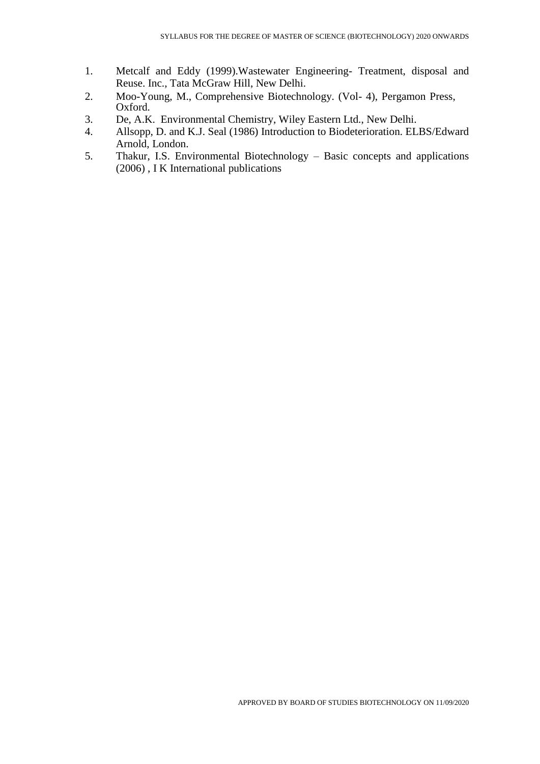- 1. Metcalf and Eddy (1999).Wastewater Engineering- Treatment, disposal and Reuse. Inc., Tata McGraw Hill, New Delhi.
- 2. Moo-Young, M., Comprehensive Biotechnology. (Vol- 4), Pergamon Press, Oxford.
- 3. De, A.K. Environmental Chemistry, Wiley Eastern Ltd., New Delhi.
- 4. Allsopp, D. and K.J. Seal (1986) Introduction to Biodeterioration. ELBS/Edward Arnold, London.
- 5. Thakur, I.S. Environmental Biotechnology Basic concepts and applications (2006) , I K International publications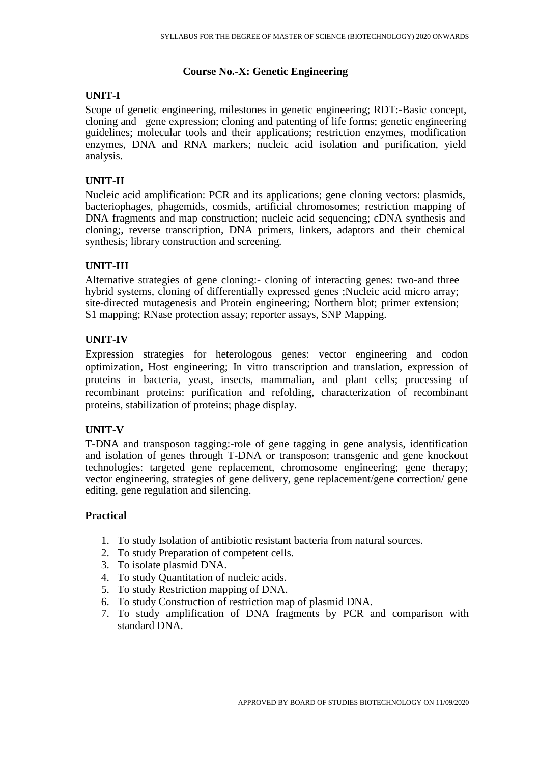## **Course No.-X: Genetic Engineering**

# **UNIT-I**

Scope of genetic engineering, milestones in genetic engineering; RDT:-Basic concept, cloning and gene expression; cloning and patenting of life forms; genetic engineering guidelines; molecular tools and their applications; restriction enzymes, modification enzymes, DNA and RNA markers; nucleic acid isolation and purification, yield analysis.

## **UNIT-II**

Nucleic acid amplification: PCR and its applications; gene cloning vectors: plasmids, bacteriophages, phagemids, cosmids, artificial chromosomes; restriction mapping of DNA fragments and map construction; nucleic acid sequencing; cDNA synthesis and cloning;, reverse transcription, DNA primers, linkers, adaptors and their chemical synthesis; library construction and screening.

## **UNIT-III**

Alternative strategies of gene cloning:- cloning of interacting genes: two-and three hybrid systems, cloning of differentially expressed genes ;Nucleic acid micro array; site-directed mutagenesis and Protein engineering; Northern blot; primer extension; S1 mapping; RNase protection assay; reporter assays, SNP Mapping.

# **UNIT-IV**

Expression strategies for heterologous genes: vector engineering and codon optimization, Host engineering; In vitro transcription and translation, expression of proteins in bacteria, yeast, insects, mammalian, and plant cells; processing of recombinant proteins: purification and refolding, characterization of recombinant proteins, stabilization of proteins; phage display.

# **UNIT-V**

T-DNA and transposon tagging:-role of gene tagging in gene analysis, identification and isolation of genes through T-DNA or transposon; transgenic and gene knockout technologies: targeted gene replacement, chromosome engineering; gene therapy; vector engineering, strategies of gene delivery, gene replacement/gene correction/ gene editing, gene regulation and silencing.

## **Practical**

- 1. To study Isolation of antibiotic resistant bacteria from natural sources.
- 2. To study Preparation of competent cells.
- 3. To isolate plasmid DNA.
- 4. To study Quantitation of nucleic acids.
- 5. To study Restriction mapping of DNA.
- 6. To study Construction of restriction map of plasmid DNA.
- 7. To study amplification of DNA fragments by PCR and comparison with standard DNA.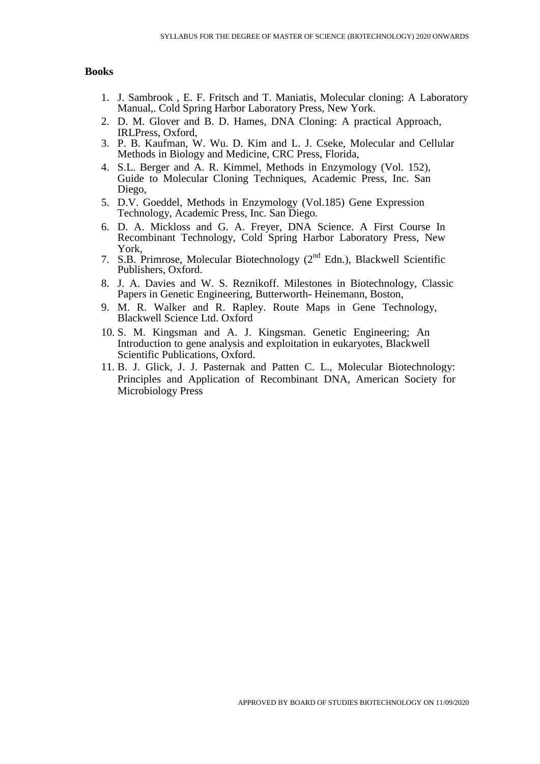#### **Books**

- 1. J. Sambrook , E. F. Fritsch and T. Maniatis, Molecular cloning: A Laboratory Manual,. Cold Spring Harbor Laboratory Press, New York.
- 2. D. M. Glover and B. D. Hames, DNA Cloning: A practical Approach, IRLPress, Oxford,
- 3. P. B. Kaufman, W. Wu. D. Kim and L. J. Cseke, Molecular and Cellular Methods in Biology and Medicine, CRC Press, Florida,
- 4. S.L. Berger and A. R. Kimmel, Methods in Enzymology (Vol. 152), Guide to Molecular Cloning Techniques, Academic Press, Inc. San Diego,
- 5. D.V. Goeddel, Methods in Enzymology (Vol.185) Gene Expression Technology, Academic Press, Inc. San Diego.
- 6. D. A. Mickloss and G. A. Freyer, DNA Science. A First Course In Recombinant Technology, Cold Spring Harbor Laboratory Press, New York,
- 7. S.B. Primrose, Molecular Biotechnology  $(2^{nd}$  Edn.), Blackwell Scientific Publishers, Oxford.
- 8. J. A. Davies and W. S. Reznikoff. Milestones in Biotechnology, Classic Papers in Genetic Engineering, Butterworth- Heinemann, Boston,
- 9. M. R. Walker and R. Rapley. Route Maps in Gene Technology, Blackwell Science Ltd. Oxford
- 10. S. M. Kingsman and A. J. Kingsman. Genetic Engineering; An Introduction to gene analysis and exploitation in eukaryotes, Blackwell Scientific Publications, Oxford.
- 11. B. J. Glick, J. J. Pasternak and Patten C. L., Molecular Biotechnology: Principles and Application of Recombinant DNA, American Society for Microbiology Press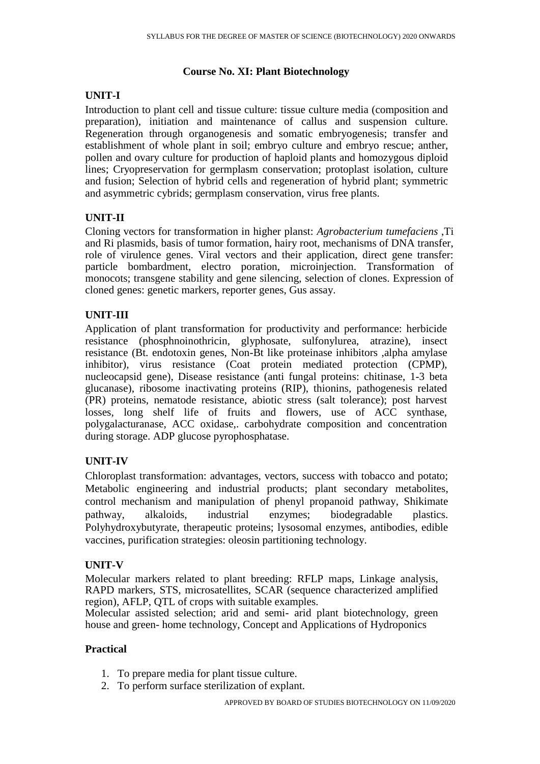## **Course No. XI: Plant Biotechnology**

# **UNIT-I**

Introduction to plant cell and tissue culture: tissue culture media (composition and preparation), initiation and maintenance of callus and suspension culture. Regeneration through organogenesis and somatic embryogenesis; transfer and establishment of whole plant in soil; embryo culture and embryo rescue; anther, pollen and ovary culture for production of haploid plants and homozygous diploid lines; Cryopreservation for germplasm conservation; protoplast isolation, culture and fusion; Selection of hybrid cells and regeneration of hybrid plant; symmetric and asymmetric cybrids; germplasm conservation, virus free plants.

# **UNIT-II**

Cloning vectors for transformation in higher planst: *Agrobacterium tumefaciens* ,Ti and Ri plasmids, basis of tumor formation, hairy root, mechanisms of DNA transfer, role of virulence genes. Viral vectors and their application, direct gene transfer: particle bombardment, electro poration, microinjection. Transformation of monocots; transgene stability and gene silencing, selection of clones. Expression of cloned genes: genetic markers, reporter genes, Gus assay.

# **UNIT-III**

Application of plant transformation for productivity and performance: herbicide resistance (phosphnoinothricin, glyphosate, sulfonylurea, atrazine), insect resistance (Bt. endotoxin genes, Non-Bt like proteinase inhibitors ,alpha amylase inhibitor), virus resistance (Coat protein mediated protection (CPMP), nucleocapsid gene), Disease resistance (anti fungal proteins: chitinase, 1-3 beta glucanase), ribosome inactivating proteins (RIP), thionins, pathogenesis related (PR) proteins, nematode resistance, abiotic stress (salt tolerance); post harvest losses, long shelf life of fruits and flowers, use of ACC synthase, polygalacturanase, ACC oxidase,. carbohydrate composition and concentration during storage. ADP glucose pyrophosphatase.

# **UNIT-IV**

Chloroplast transformation: advantages, vectors, success with tobacco and potato; Metabolic engineering and industrial products; plant secondary metabolites, control mechanism and manipulation of phenyl propanoid pathway, Shikimate pathway, alkaloids, industrial enzymes; biodegradable plastics. Polyhydroxybutyrate, therapeutic proteins; lysosomal enzymes, antibodies, edible vaccines, purification strategies: oleosin partitioning technology.

# **UNIT-V**

Molecular markers related to plant breeding: RFLP maps, Linkage analysis, RAPD markers, STS, microsatellites, SCAR (sequence characterized amplified region), AFLP, QTL of crops with suitable examples.

Molecular assisted selection; arid and semi- arid plant biotechnology, green house and green- home technology, Concept and Applications of Hydroponics

# **Practical**

- 1. To prepare media for plant tissue culture.
- 2. To perform surface sterilization of explant.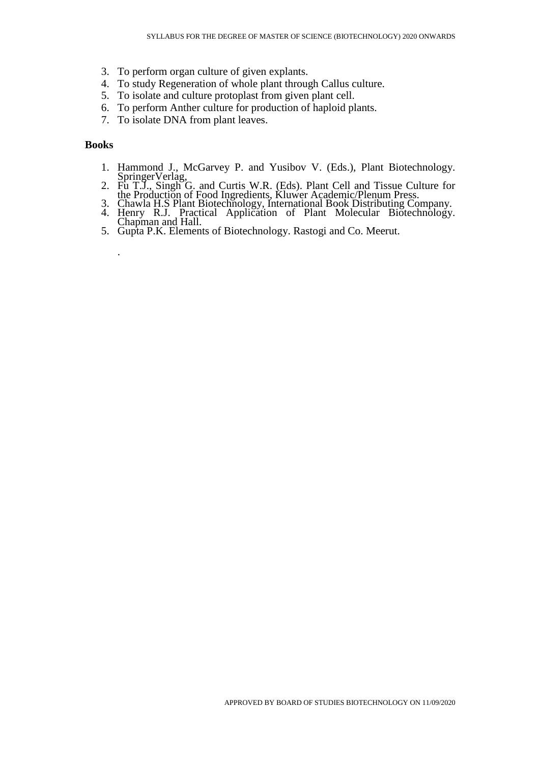- 3. To perform organ culture of given explants.
- 4. To study Regeneration of whole plant through Callus culture.
- 5. To isolate and culture protoplast from given plant cell.
- 6. To perform Anther culture for production of haploid plants.
- 7. To isolate DNA from plant leaves.

#### **Books**

.

- 1. Hammond J., McGarvey P. and Yusibov V. (Eds.), Plant Biotechnology. SpringerVerlag,
- 2. Fu T.J., Singh G. and Curtis W.R. (Eds). Plant Cell and Tissue Culture for the Production of Food Ingredients, Kluwer Academic/Plenum Press.
- 3. Chawla H.S Plant Biotechnology, International Book Distributing Company. 4. Henry R.J. Practical Application of Plant Molecular Biotechnology. Chapman and Hall.
- 5. Gupta P.K. Elements of Biotechnology. Rastogi and Co. Meerut.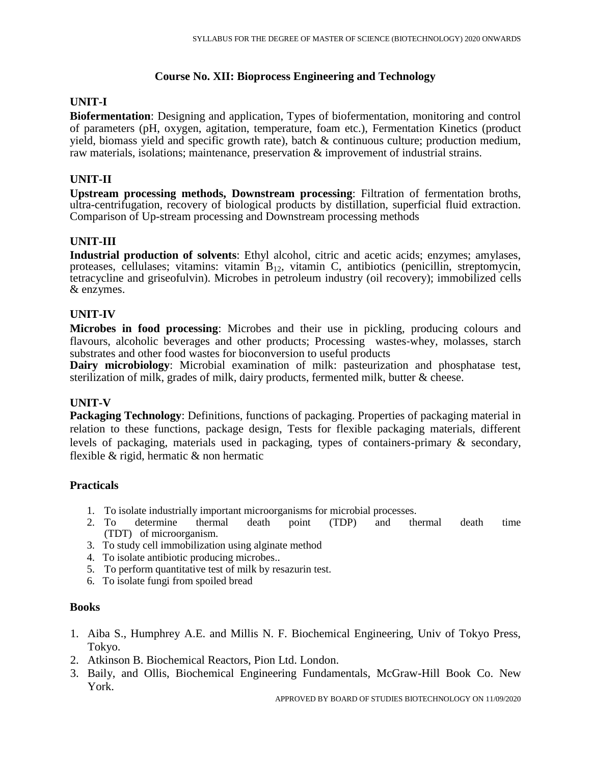## **Course No. XII: Bioprocess Engineering and Technology**

## **UNIT-I**

**Biofermentation**: Designing and application, Types of biofermentation, monitoring and control of parameters (pH, oxygen, agitation, temperature, foam etc.), Fermentation Kinetics (product yield, biomass yield and specific growth rate), batch & continuous culture; production medium, raw materials, isolations; maintenance, preservation & improvement of industrial strains.

### **UNIT-II**

**Upstream processing methods, Downstream processing**: Filtration of fermentation broths, ultra-centrifugation, recovery of biological products by distillation, superficial fluid extraction. Comparison of Up-stream processing and Downstream processing methods

## **UNIT-III**

**Industrial production of solvents**: Ethyl alcohol, citric and acetic acids; enzymes; amylases, proteases, cellulases; vitamins: vitamin  $B_{12}$ , vitamin C, antibiotics (penicillin, streptomycin, tetracycline and griseofulvin). Microbes in petroleum industry (oil recovery); immobilized cells & enzymes.

## **UNIT-IV**

**Microbes in food processing**: Microbes and their use in pickling, producing colours and flavours, alcoholic beverages and other products; Processing wastes-whey, molasses, starch substrates and other food wastes for bioconversion to useful products

**Dairy microbiology**: Microbial examination of milk: pasteurization and phosphatase test, sterilization of milk, grades of milk, dairy products, fermented milk, butter & cheese.

## **UNIT-V**

**Packaging Technology**: Definitions, functions of packaging. Properties of packaging material in relation to these functions, package design, Tests for flexible packaging materials, different levels of packaging, materials used in packaging, types of containers-primary & secondary, flexible & rigid, hermatic & non hermatic

## **Practicals**

- 1. To isolate industrially important microorganisms for microbial processes.
- 2. To determine thermal death point (TDP) and thermal death time (TDT) of microorganism.
- 3. To study cell immobilization using alginate method
- 4. To isolate antibiotic producing microbes..
- 5. To perform quantitative test of milk by resazurin test.
- 6. To isolate fungi from spoiled bread

#### **Books**

- 1. Aiba S., Humphrey A.E. and Millis N. F. Biochemical Engineering, Univ of Tokyo Press, Tokyo.
- 2. Atkinson B. Biochemical Reactors, Pion Ltd. London.
- 3. Baily, and Ollis, Biochemical Engineering Fundamentals, McGraw-Hill Book Co. New York.